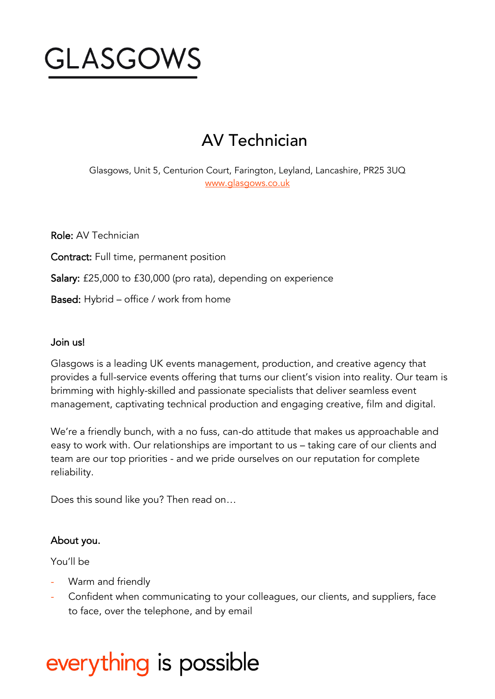

# AV Technician

Glasgows, Unit 5, Centurion Court, Farington, Leyland, Lancashire, PR25 3UQ [www.glasgows.co.uk](http://www.glasgows.co.uk/)

Role: AV Technician

Contract: Full time, permanent position

Salary: £25,000 to £30,000 (pro rata), depending on experience

Based: Hybrid – office / work from home

#### Join us!

Glasgows is a leading UK events management, production, and creative agency that provides a full-service events offering that turns our client's vision into reality. Our team is brimming with highly-skilled and passionate specialists that deliver seamless event management, captivating technical production and engaging creative, film and digital.

We're a friendly bunch, with a no fuss, can-do attitude that makes us approachable and easy to work with. Our relationships are important to us – taking care of our clients and team are our top priorities - and we pride ourselves on our reputation for complete reliability.

Does this sound like you? Then read on…

## About you.

You'll be

- Warm and friendly
- Confident when communicating to your colleagues, our clients, and suppliers, face to face, over the telephone, and by email

# everything is possible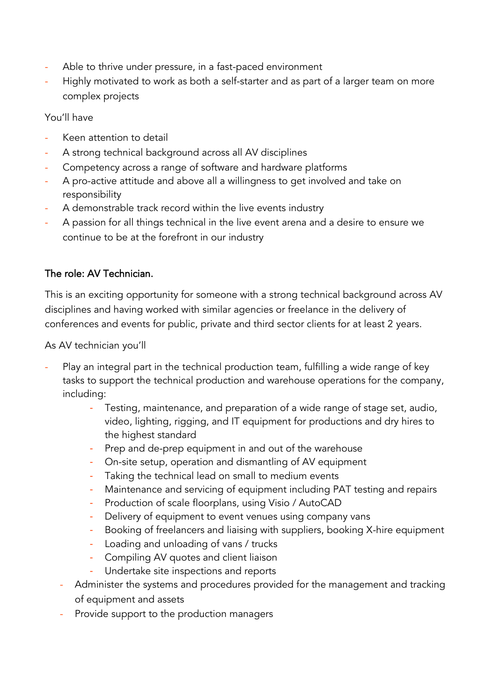- Able to thrive under pressure, in a fast-paced environment
- Highly motivated to work as both a self-starter and as part of a larger team on more complex projects

You'll have

- Keen attention to detail
- A strong technical background across all AV disciplines
- Competency across a range of software and hardware platforms
- A pro-active attitude and above all a willingness to get involved and take on responsibility
- A demonstrable track record within the live events industry
- A passion for all things technical in the live event arena and a desire to ensure we continue to be at the forefront in our industry

# The role: AV Technician.

This is an exciting opportunity for someone with a strong technical background across AV disciplines and having worked with similar agencies or freelance in the delivery of conferences and events for public, private and third sector clients for at least 2 years.

As AV technician you'll

- Play an integral part in the technical production team, fulfilling a wide range of key tasks to support the technical production and warehouse operations for the company, including:
	- Testing, maintenance, and preparation of a wide range of stage set, audio, video, lighting, rigging, and IT equipment for productions and dry hires to the highest standard
	- Prep and de-prep equipment in and out of the warehouse
	- On-site setup, operation and dismantling of AV equipment
	- Taking the technical lead on small to medium events
	- Maintenance and servicing of equipment including PAT testing and repairs
	- Production of scale floorplans, using Visio / AutoCAD
	- Delivery of equipment to event venues using company vans
	- Booking of freelancers and liaising with suppliers, booking X-hire equipment
	- Loading and unloading of vans / trucks
	- Compiling AV quotes and client liaison
	- Undertake site inspections and reports
	- Administer the systems and procedures provided for the management and tracking of equipment and assets
	- Provide support to the production managers